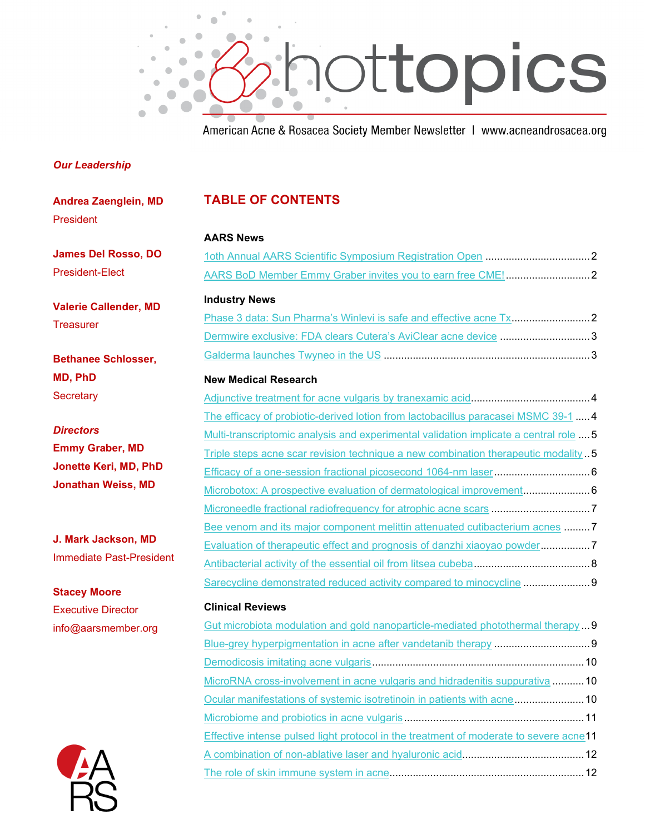

American Acne & Rosacea Society Member Newsletter | www.acneandrosacea.org

#### *Our Leadership*

| <b>Andrea Zaenglein, MD</b>       | <b>TABLE OF CONTENTS</b>                                                              |
|-----------------------------------|---------------------------------------------------------------------------------------|
| President                         |                                                                                       |
|                                   | <b>AARS News</b>                                                                      |
| <b>James Del Rosso, DO</b>        |                                                                                       |
| <b>President-Elect</b>            |                                                                                       |
| <b>Valerie Callender, MD</b>      | <b>Industry News</b>                                                                  |
| <b>Treasurer</b>                  |                                                                                       |
|                                   | Dermwire exclusive: FDA clears Cutera's AviClear acne device 3                        |
| <b>Bethanee Schlosser,</b>        |                                                                                       |
| MD, PhD                           | <b>New Medical Research</b>                                                           |
| Secretary                         |                                                                                       |
|                                   | The efficacy of probiotic-derived lotion from lactobacillus paracasei MSMC 39-1  4    |
| <b>Directors</b>                  | Multi-transcriptomic analysis and experimental validation implicate a central role  5 |
| <b>Emmy Graber, MD</b>            | Triple steps acne scar revision technique a new combination therapeutic modality 5    |
| Jonette Keri, MD, PhD             |                                                                                       |
| <b>Jonathan Weiss, MD</b>         |                                                                                       |
|                                   | Microneedle fractional radiofrequency for atrophic acne scars 7                       |
|                                   | Bee venom and its major component melittin attenuated cutibacterium acnes 7           |
| J. Mark Jackson, MD               | Evaluation of therapeutic effect and prognosis of danzhi xiaoyao powder               |
| <b>Immediate Past-President</b>   |                                                                                       |
| <b>Stacey Moore</b>               | Sarecycline demonstrated reduced activity compared to minocycline 9                   |
| <b>Executive Director</b>         | <b>Clinical Reviews</b>                                                               |
| info@aarsmember.org<br>$\sqrt{4}$ | Gut microbiota modulation and gold nanoparticle-mediated photothermal therapy9        |
|                                   |                                                                                       |
|                                   |                                                                                       |
|                                   | MicroRNA cross-involvement in acne vulgaris and hidradenitis suppurativa 10           |
|                                   | Ocular manifestations of systemic isotretinoin in patients with acne 10               |
|                                   |                                                                                       |
|                                   | Effective intense pulsed light protocol in the treatment of moderate to severe acne11 |
|                                   |                                                                                       |
|                                   |                                                                                       |

**TABLE OF CONTENTS**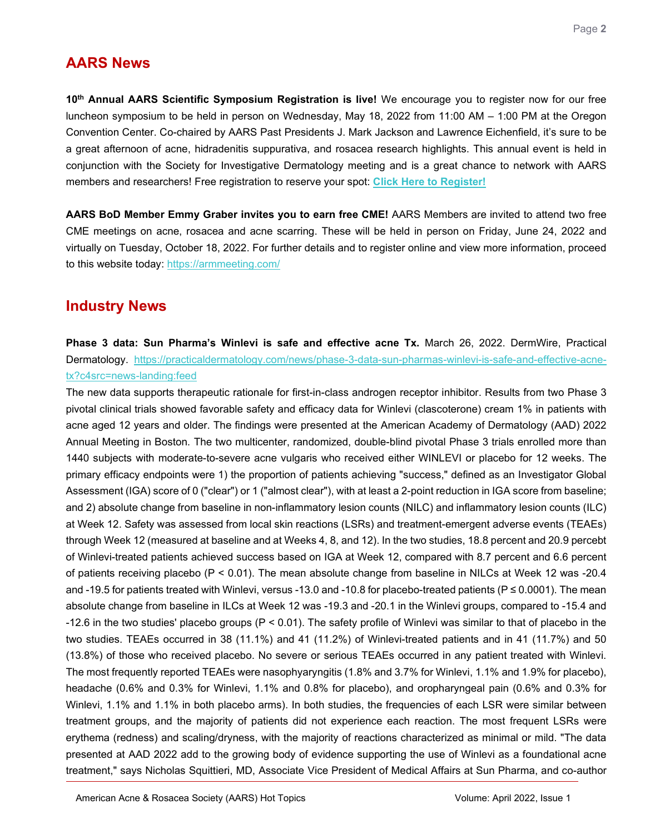# **AARS News**

<span id="page-1-1"></span><span id="page-1-0"></span>**10th Annual AARS Scientific Symposium Registration is live!** We encourage you to register now for our free luncheon symposium to be held in person on Wednesday, May 18, 2022 from 11:00 AM – 1:00 PM at the Oregon Convention Center. Co-chaired by AARS Past Presidents J. Mark Jackson and Lawrence Eichenfield, it's sure to be a great afternoon of acne, hidradenitis suppurativa, and rosacea research highlights. This annual event is held in conjunction with the Society for Investigative Dermatology meeting and is a great chance to network with AARS members and researchers! Free registration to reserve your spot: **[Click Here to Register!](https://acneandrosacea.org/medical-professionals/member-networking)**

**AARS BoD Member Emmy Graber invites you to earn free CME!** AARS Members are invited to attend two free CME meetings on acne, rosacea and acne scarring. These will be held in person on Friday, June 24, 2022 and virtually on Tuesday, October 18, 2022. For further details and to register online and view more information, proceed to this website today:<https://armmeeting.com/>

## **Industry News**

<span id="page-1-2"></span>**Phase 3 data: Sun Pharma's Winlevi is safe and effective acne Tx.** March 26, 2022. DermWire, Practical Dermatology. [https://practicaldermatology.com/news/phase-3-data-sun-pharmas-winlevi-is-safe-and-effective-acne](https://practicaldermatology.com/news/phase-3-data-sun-pharmas-winlevi-is-safe-and-effective-acne-tx?c4src=news-landing:feed)[tx?c4src=news-landing:feed](https://practicaldermatology.com/news/phase-3-data-sun-pharmas-winlevi-is-safe-and-effective-acne-tx?c4src=news-landing:feed) 

The new data supports therapeutic rationale for first-in-class androgen receptor inhibitor. Results from two Phase 3 pivotal clinical trials showed favorable safety and efficacy data for Winlevi (clascoterone) cream 1% in patients with acne aged 12 years and older. The findings were presented at the American Academy of Dermatology (AAD) 2022 Annual Meeting in Boston. The two multicenter, randomized, double-blind pivotal Phase 3 trials enrolled more than 1440 subjects with moderate-to-severe acne vulgaris who received either WINLEVI or placebo for 12 weeks. The primary efficacy endpoints were 1) the proportion of patients achieving "success," defined as an Investigator Global Assessment (IGA) score of 0 ("clear") or 1 ("almost clear"), with at least a 2-point reduction in IGA score from baseline; and 2) absolute change from baseline in non-inflammatory lesion counts (NILC) and inflammatory lesion counts (ILC) at Week 12. Safety was assessed from local skin reactions (LSRs) and treatment-emergent adverse events (TEAEs) through Week 12 (measured at baseline and at Weeks 4, 8, and 12). In the two studies, 18.8 percent and 20.9 percebt of Winlevi-treated patients achieved success based on IGA at Week 12, compared with 8.7 percent and 6.6 percent of patients receiving placebo (P < 0.01). The mean absolute change from baseline in NILCs at Week 12 was -20.4 and -19.5 for patients treated with Winlevi, versus -13.0 and -10.8 for placebo-treated patients ( $P \le 0.0001$ ). The mean absolute change from baseline in ILCs at Week 12 was -19.3 and -20.1 in the Winlevi groups, compared to -15.4 and -12.6 in the two studies' placebo groups (P < 0.01). The safety profile of Winlevi was similar to that of placebo in the two studies. TEAEs occurred in 38 (11.1%) and 41 (11.2%) of Winlevi-treated patients and in 41 (11.7%) and 50 (13.8%) of those who received placebo. No severe or serious TEAEs occurred in any patient treated with Winlevi. The most frequently reported TEAEs were nasophyaryngitis (1.8% and 3.7% for Winlevi, 1.1% and 1.9% for placebo), headache (0.6% and 0.3% for Winlevi, 1.1% and 0.8% for placebo), and oropharyngeal pain (0.6% and 0.3% for Winlevi, 1.1% and 1.1% in both placebo arms). In both studies, the frequencies of each LSR were similar between treatment groups, and the majority of patients did not experience each reaction. The most frequent LSRs were erythema (redness) and scaling/dryness, with the majority of reactions characterized as minimal or mild. "The data presented at AAD 2022 add to the growing body of evidence supporting the use of Winlevi as a foundational acne treatment," says Nicholas Squittieri, MD, Associate Vice President of Medical Affairs at Sun Pharma, and co-author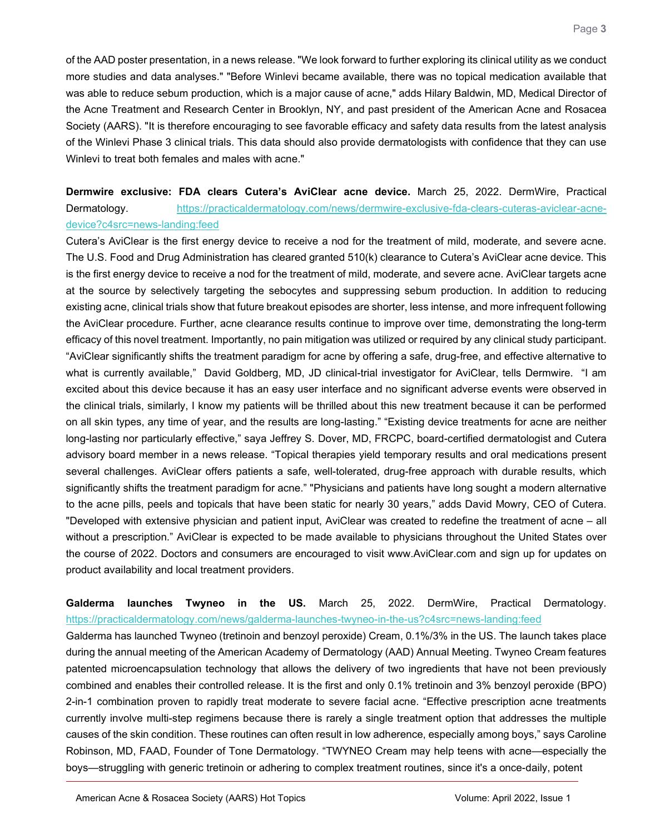of the AAD poster presentation, in a news release. "We look forward to further exploring its clinical utility as we conduct more studies and data analyses." "Before Winlevi became available, there was no topical medication available that was able to reduce sebum production, which is a major cause of acne," adds Hilary Baldwin, MD, Medical Director of the Acne Treatment and Research Center in Brooklyn, NY, and past president of the American Acne and Rosacea Society (AARS). "It is therefore encouraging to see favorable efficacy and safety data results from the latest analysis of the Winlevi Phase 3 clinical trials. This data should also provide dermatologists with confidence that they can use Winlevi to treat both females and males with acne."

<span id="page-2-0"></span>**Dermwire exclusive: FDA clears Cutera's AviClear acne device.** March 25, 2022. DermWire, Practical Dermatology. [https://practicaldermatology.com/news/dermwire-exclusive-fda-clears-cuteras-aviclear-acne](https://practicaldermatology.com/news/dermwire-exclusive-fda-clears-cuteras-aviclear-acne-device?c4src=news-landing:feed)[device?c4src=news-landing:feed](https://practicaldermatology.com/news/dermwire-exclusive-fda-clears-cuteras-aviclear-acne-device?c4src=news-landing:feed) 

Cutera's AviClear is the first energy device to receive a nod for the treatment of mild, moderate, and severe acne. The U.S. Food and Drug Administration has cleared granted 510(k) clearance to Cutera's AviClear acne device. This is the first energy device to receive a nod for the treatment of mild, moderate, and severe acne. AviClear targets acne at the source by selectively targeting the sebocytes and suppressing sebum production. In addition to reducing existing acne, clinical trials show that future breakout episodes are shorter, less intense, and more infrequent following the AviClear procedure. Further, acne clearance results continue to improve over time, demonstrating the long-term efficacy of this novel treatment. Importantly, no pain mitigation was utilized or required by any clinical study participant. "AviClear significantly shifts the treatment paradigm for acne by offering a safe, drug-free, and effective alternative to what is currently available," David Goldberg, MD, JD clinical-trial investigator for AviClear, tells Dermwire. "I am excited about this device because it has an easy user interface and no significant adverse events were observed in the clinical trials, similarly, I know my patients will be thrilled about this new treatment because it can be performed on all skin types, any time of year, and the results are long-lasting." "Existing device treatments for acne are neither long-lasting nor particularly effective," saya Jeffrey S. Dover, MD, FRCPC, board-certified dermatologist and Cutera advisory board member in a news release. "Topical therapies yield temporary results and oral medications present several challenges. AviClear offers patients a safe, well-tolerated, drug-free approach with durable results, which significantly shifts the treatment paradigm for acne." "Physicians and patients have long sought a modern alternative to the acne pills, peels and topicals that have been static for nearly 30 years," adds David Mowry, CEO of Cutera. "Developed with extensive physician and patient input, AviClear was created to redefine the treatment of acne – all without a prescription." AviClear is expected to be made available to physicians throughout the United States over the course of 2022. Doctors and consumers are encouraged to visit www.AviClear.com and sign up for updates on product availability and local treatment providers.

#### <span id="page-2-1"></span>**Galderma launches Twyneo in the US.** March 25, 2022. DermWire, Practical Dermatology. <https://practicaldermatology.com/news/galderma-launches-twyneo-in-the-us?c4src=news-landing:feed>

Galderma has launched Twyneo (tretinoin and benzoyl peroxide) Cream, 0.1%/3% in the US. The launch takes place during the annual meeting of the American Academy of Dermatology (AAD) Annual Meeting. Twyneo Cream features patented microencapsulation technology that allows the delivery of two ingredients that have not been previously combined and enables their controlled release. It is the first and only 0.1% tretinoin and 3% benzoyl peroxide (BPO) 2-in-1 combination proven to rapidly treat moderate to severe facial acne. "Effective prescription acne treatments currently involve multi-step regimens because there is rarely a single treatment option that addresses the multiple causes of the skin condition. These routines can often result in low adherence, especially among boys," says Caroline Robinson, MD, FAAD, Founder of Tone Dermatology. "TWYNEO Cream may help teens with acne—especially the boys—struggling with generic tretinoin or adhering to complex treatment routines, since it's a once-daily, potent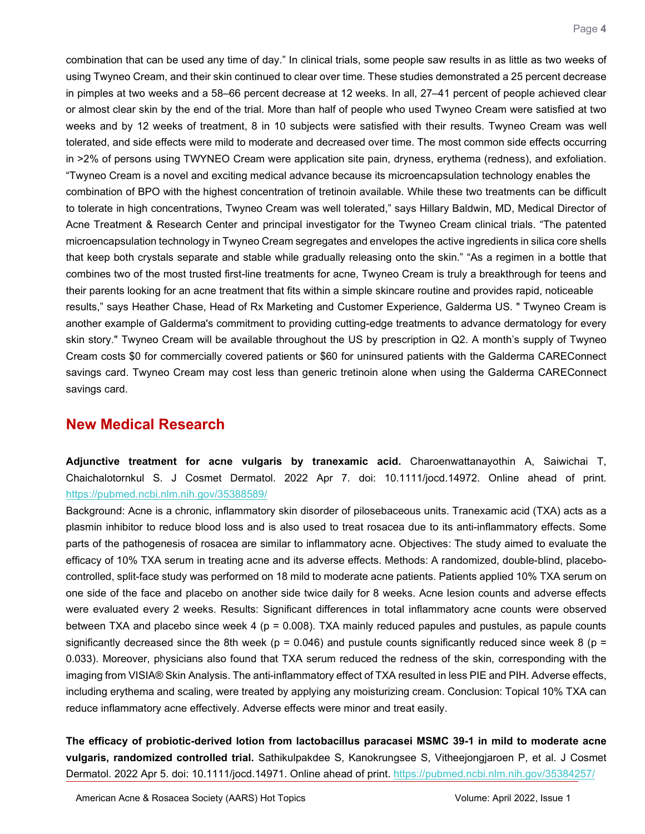combination that can be used any time of day." In clinical trials, some people saw results in as little as two weeks of using Twyneo Cream, and their skin continued to clear over time. These studies demonstrated a 25 percent decrease in pimples at two weeks and a 58–66 percent decrease at 12 weeks. In all, 27–41 percent of people achieved clear or almost clear skin by the end of the trial. More than half of people who used Twyneo Cream were satisfied at two weeks and by 12 weeks of treatment, 8 in 10 subjects were satisfied with their results. Twyneo Cream was well tolerated, and side effects were mild to moderate and decreased over time. The most common side effects occurring in >2% of persons using TWYNEO Cream were application site pain, dryness, erythema (redness), and exfoliation. "Twyneo Cream is a novel and exciting medical advance because its microencapsulation technology enables the combination of BPO with the highest concentration of tretinoin available. While these two treatments can be difficult to tolerate in high concentrations, Twyneo Cream was well tolerated," says Hillary Baldwin, MD, Medical Director of Acne Treatment & Research Center and principal investigator for the Twyneo Cream clinical trials. "The patented microencapsulation technology in Twyneo Cream segregates and envelopes the active ingredients in silica core shells that keep both crystals separate and stable while gradually releasing onto the skin." "As a regimen in a bottle that combines two of the most trusted first-line treatments for acne, Twyneo Cream is truly a breakthrough for teens and their parents looking for an acne treatment that fits within a simple skincare routine and provides rapid, noticeable results," says Heather Chase, Head of Rx Marketing and Customer Experience, Galderma US. " Twyneo Cream is another example of Galderma's commitment to providing cutting-edge treatments to advance dermatology for every skin story." Twyneo Cream will be available throughout the US by prescription in Q2. A month's supply of Twyneo Cream costs \$0 for commercially covered patients or \$60 for uninsured patients with the Galderma CAREConnect savings card. Twyneo Cream may cost less than generic tretinoin alone when using the Galderma CAREConnect savings card.

### **New Medical Research**

<span id="page-3-0"></span>**Adjunctive treatment for acne vulgaris by tranexamic acid.** Charoenwattanayothin A, Saiwichai T, Chaichalotornkul S. J Cosmet Dermatol. 2022 Apr 7. doi: 10.1111/jocd.14972. Online ahead of print. <https://pubmed.ncbi.nlm.nih.gov/35388589/>

Background: Acne is a chronic, inflammatory skin disorder of pilosebaceous units. Tranexamic acid (TXA) acts as a plasmin inhibitor to reduce blood loss and is also used to treat rosacea due to its anti-inflammatory effects. Some parts of the pathogenesis of rosacea are similar to inflammatory acne. Objectives: The study aimed to evaluate the efficacy of 10% TXA serum in treating acne and its adverse effects. Methods: A randomized, double-blind, placebocontrolled, split-face study was performed on 18 mild to moderate acne patients. Patients applied 10% TXA serum on one side of the face and placebo on another side twice daily for 8 weeks. Acne lesion counts and adverse effects were evaluated every 2 weeks. Results: Significant differences in total inflammatory acne counts were observed between TXA and placebo since week  $4$  (p = 0.008). TXA mainly reduced papules and pustules, as papule counts significantly decreased since the 8th week ( $p = 0.046$ ) and pustule counts significantly reduced since week 8 ( $p =$ 0.033). Moreover, physicians also found that TXA serum reduced the redness of the skin, corresponding with the imaging from VISIA® Skin Analysis. The anti-inflammatory effect of TXA resulted in less PIE and PIH. Adverse effects, including erythema and scaling, were treated by applying any moisturizing cream. Conclusion: Topical 10% TXA can reduce inflammatory acne effectively. Adverse effects were minor and treat easily.

<span id="page-3-1"></span>**The efficacy of probiotic-derived lotion from lactobacillus paracasei MSMC 39-1 in mild to moderate acne vulgaris, randomized controlled trial.** Sathikulpakdee S, Kanokrungsee S, Vitheejongjaroen P, et al. J Cosmet Dermatol. 2022 Apr 5. doi: 10.1111/jocd.14971. Online ahead of print. https://pubmed.ncbi.nlm.nih.gov/35384257/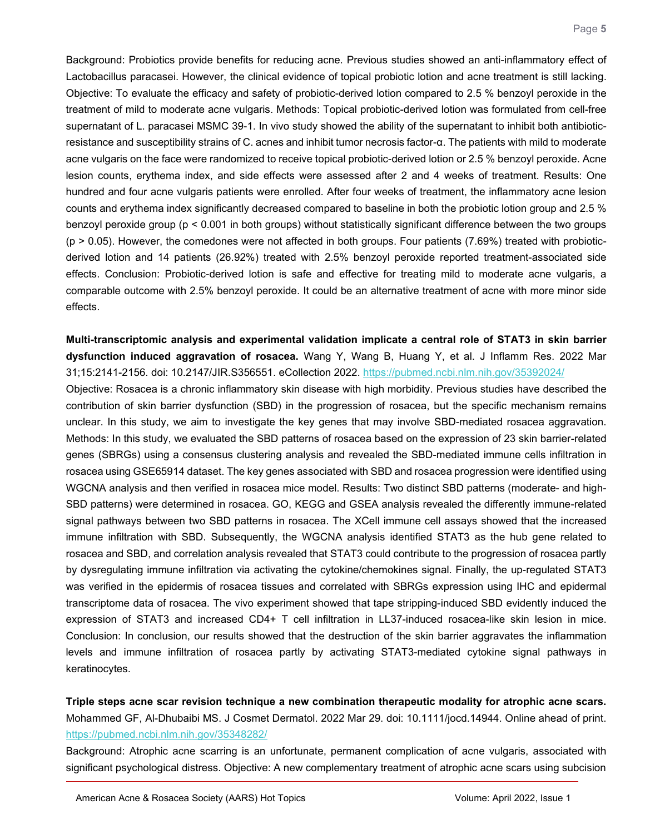Background: Probiotics provide benefits for reducing acne. Previous studies showed an anti-inflammatory effect of Lactobacillus paracasei. However, the clinical evidence of topical probiotic lotion and acne treatment is still lacking. Objective: To evaluate the efficacy and safety of probiotic-derived lotion compared to 2.5 % benzoyl peroxide in the treatment of mild to moderate acne vulgaris. Methods: Topical probiotic-derived lotion was formulated from cell-free supernatant of L. paracasei MSMC 39-1. In vivo study showed the ability of the supernatant to inhibit both antibioticresistance and susceptibility strains of C. acnes and inhibit tumor necrosis factor-α. The patients with mild to moderate acne vulgaris on the face were randomized to receive topical probiotic-derived lotion or 2.5 % benzoyl peroxide. Acne lesion counts, erythema index, and side effects were assessed after 2 and 4 weeks of treatment. Results: One hundred and four acne vulgaris patients were enrolled. After four weeks of treatment, the inflammatory acne lesion counts and erythema index significantly decreased compared to baseline in both the probiotic lotion group and 2.5 % benzoyl peroxide group (p < 0.001 in both groups) without statistically significant difference between the two groups  $(p > 0.05)$ . However, the comedones were not affected in both groups. Four patients (7.69%) treated with probioticderived lotion and 14 patients (26.92%) treated with 2.5% benzoyl peroxide reported treatment-associated side effects. Conclusion: Probiotic-derived lotion is safe and effective for treating mild to moderate acne vulgaris, a comparable outcome with 2.5% benzoyl peroxide. It could be an alternative treatment of acne with more minor side effects.

<span id="page-4-0"></span>**Multi-transcriptomic analysis and experimental validation implicate a central role of STAT3 in skin barrier dysfunction induced aggravation of rosacea.** Wang Y, Wang B, Huang Y, et al. J Inflamm Res. 2022 Mar 31;15:2141-2156. doi: 10.2147/JIR.S356551. eCollection 2022.<https://pubmed.ncbi.nlm.nih.gov/35392024/>

Objective: Rosacea is a chronic inflammatory skin disease with high morbidity. Previous studies have described the contribution of skin barrier dysfunction (SBD) in the progression of rosacea, but the specific mechanism remains unclear. In this study, we aim to investigate the key genes that may involve SBD-mediated rosacea aggravation. Methods: In this study, we evaluated the SBD patterns of rosacea based on the expression of 23 skin barrier-related genes (SBRGs) using a consensus clustering analysis and revealed the SBD-mediated immune cells infiltration in rosacea using GSE65914 dataset. The key genes associated with SBD and rosacea progression were identified using WGCNA analysis and then verified in rosacea mice model. Results: Two distinct SBD patterns (moderate- and high-SBD patterns) were determined in rosacea. GO, KEGG and GSEA analysis revealed the differently immune-related signal pathways between two SBD patterns in rosacea. The XCell immune cell assays showed that the increased immune infiltration with SBD. Subsequently, the WGCNA analysis identified STAT3 as the hub gene related to rosacea and SBD, and correlation analysis revealed that STAT3 could contribute to the progression of rosacea partly by dysregulating immune infiltration via activating the cytokine/chemokines signal. Finally, the up-regulated STAT3 was verified in the epidermis of rosacea tissues and correlated with SBRGs expression using IHC and epidermal transcriptome data of rosacea. The vivo experiment showed that tape stripping-induced SBD evidently induced the expression of STAT3 and increased CD4+ T cell infiltration in LL37-induced rosacea-like skin lesion in mice. Conclusion: In conclusion, our results showed that the destruction of the skin barrier aggravates the inflammation levels and immune infiltration of rosacea partly by activating STAT3-mediated cytokine signal pathways in keratinocytes.

<span id="page-4-1"></span>**Triple steps acne scar revision technique a new combination therapeutic modality for atrophic acne scars.** Mohammed GF, Al-Dhubaibi MS. J Cosmet Dermatol. 2022 Mar 29. doi: 10.1111/jocd.14944. Online ahead of print. <https://pubmed.ncbi.nlm.nih.gov/35348282/>

Background: Atrophic acne scarring is an unfortunate, permanent complication of acne vulgaris, associated with significant psychological distress. Objective: A new complementary treatment of atrophic acne scars using subcision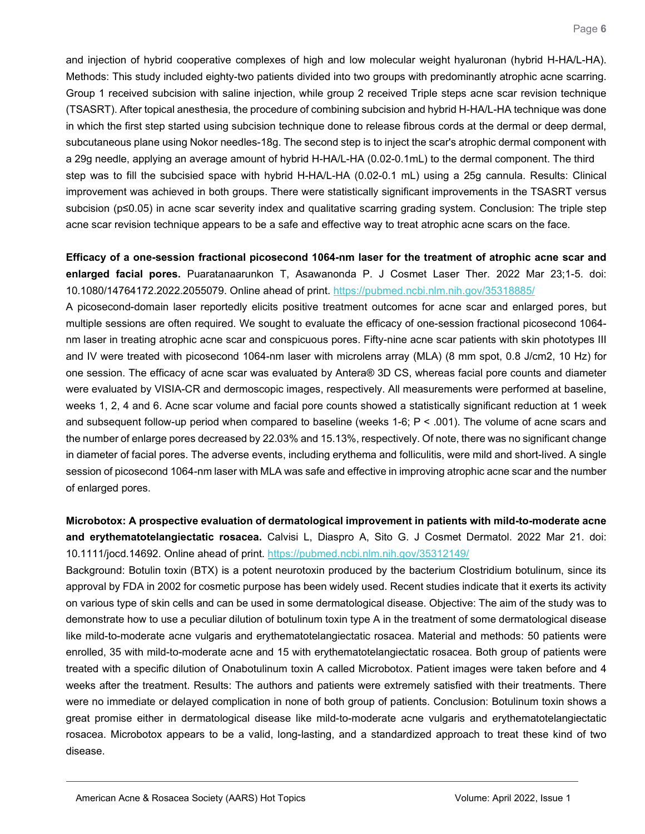and injection of hybrid cooperative complexes of high and low molecular weight hyaluronan (hybrid H-HA/L-HA). Methods: This study included eighty-two patients divided into two groups with predominantly atrophic acne scarring. Group 1 received subcision with saline injection, while group 2 received Triple steps acne scar revision technique (TSASRT). After topical anesthesia, the procedure of combining subcision and hybrid H-HA/L-HA technique was done in which the first step started using subcision technique done to release fibrous cords at the dermal or deep dermal, subcutaneous plane using Nokor needles-18g. The second step is to inject the scar's atrophic dermal component with a 29g needle, applying an average amount of hybrid H-HA/L-HA (0.02-0.1mL) to the dermal component. The third step was to fill the subcisied space with hybrid H-HA/L-HA (0.02-0.1 mL) using a 25g cannula. Results: Clinical improvement was achieved in both groups. There were statistically significant improvements in the TSASRT versus subcision (p≤0.05) in acne scar severity index and qualitative scarring grading system. Conclusion: The triple step acne scar revision technique appears to be a safe and effective way to treat atrophic acne scars on the face.

#### <span id="page-5-0"></span>**Efficacy of a one-session fractional picosecond 1064-nm laser for the treatment of atrophic acne scar and enlarged facial pores.** Puaratanaarunkon T, Asawanonda P. J Cosmet Laser Ther. 2022 Mar 23;1-5. doi: 10.1080/14764172.2022.2055079. Online ahead of print.<https://pubmed.ncbi.nlm.nih.gov/35318885/>

A picosecond-domain laser reportedly elicits positive treatment outcomes for acne scar and enlarged pores, but multiple sessions are often required. We sought to evaluate the efficacy of one-session fractional picosecond 1064 nm laser in treating atrophic acne scar and conspicuous pores. Fifty-nine acne scar patients with skin phototypes III and IV were treated with picosecond 1064-nm laser with microlens array (MLA) (8 mm spot, 0.8 J/cm2, 10 Hz) for one session. The efficacy of acne scar was evaluated by Antera® 3D CS, whereas facial pore counts and diameter were evaluated by VISIA-CR and dermoscopic images, respectively. All measurements were performed at baseline, weeks 1, 2, 4 and 6. Acne scar volume and facial pore counts showed a statistically significant reduction at 1 week and subsequent follow-up period when compared to baseline (weeks 1-6; P < .001). The volume of acne scars and the number of enlarge pores decreased by 22.03% and 15.13%, respectively. Of note, there was no significant change in diameter of facial pores. The adverse events, including erythema and folliculitis, were mild and short-lived. A single session of picosecond 1064-nm laser with MLA was safe and effective in improving atrophic acne scar and the number of enlarged pores.

### <span id="page-5-1"></span>**Microbotox: A prospective evaluation of dermatological improvement in patients with mild-to-moderate acne and erythematotelangiectatic rosacea.** Calvisi L, Diaspro A, Sito G. J Cosmet Dermatol. 2022 Mar 21. doi: 10.1111/jocd.14692. Online ahead of print.<https://pubmed.ncbi.nlm.nih.gov/35312149/>

Background: Botulin toxin (BTX) is a potent neurotoxin produced by the bacterium Clostridium botulinum, since its approval by FDA in 2002 for cosmetic purpose has been widely used. Recent studies indicate that it exerts its activity on various type of skin cells and can be used in some dermatological disease. Objective: The aim of the study was to demonstrate how to use a peculiar dilution of botulinum toxin type A in the treatment of some dermatological disease like mild-to-moderate acne vulgaris and erythematotelangiectatic rosacea. Material and methods: 50 patients were enrolled, 35 with mild-to-moderate acne and 15 with erythematotelangiectatic rosacea. Both group of patients were treated with a specific dilution of Onabotulinum toxin A called Microbotox. Patient images were taken before and 4 weeks after the treatment. Results: The authors and patients were extremely satisfied with their treatments. There were no immediate or delayed complication in none of both group of patients. Conclusion: Botulinum toxin shows a great promise either in dermatological disease like mild-to-moderate acne vulgaris and erythematotelangiectatic rosacea. Microbotox appears to be a valid, long-lasting, and a standardized approach to treat these kind of two disease.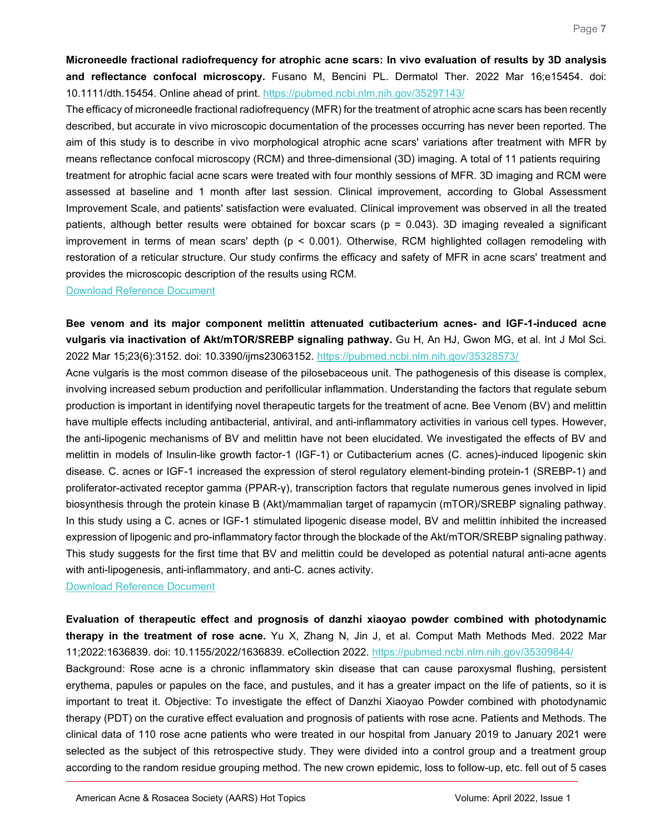<span id="page-6-0"></span>**Microneedle fractional radiofrequency for atrophic acne scars: In vivo evaluation of results by 3D analysis and reflectance confocal microscopy.** Fusano M, Bencini PL. Dermatol Ther. 2022 Mar 16;e15454. doi: 10.1111/dth.15454. Online ahead of print.<https://pubmed.ncbi.nlm.nih.gov/35297143/>

The efficacy of microneedle fractional radiofrequency (MFR) for the treatment of atrophic acne scars has been recently described, but accurate in vivo microscopic documentation of the processes occurring has never been reported. The aim of this study is to describe in vivo morphological atrophic acne scars' variations after treatment with MFR by means reflectance confocal microscopy (RCM) and three-dimensional (3D) imaging. A total of 11 patients requiring treatment for atrophic facial acne scars were treated with four monthly sessions of MFR. 3D imaging and RCM were assessed at baseline and 1 month after last session. Clinical improvement, according to Global Assessment Improvement Scale, and patients' satisfaction were evaluated. Clinical improvement was observed in all the treated patients, although better results were obtained for boxcar scars (p = 0.043). 3D imaging revealed a significant improvement in terms of mean scars' depth ( $p < 0.001$ ). Otherwise, RCM highlighted collagen remodeling with restoration of a reticular structure. Our study confirms the efficacy and safety of MFR in acne scars' treatment and provides the microscopic description of the results using RCM.

#### [Download Reference Document](https://files.constantcontact.com/c2fa20d1101/35bad426-6d8d-4d53-84ca-8b2113fef1ec.pdf?rdr=true)

<span id="page-6-1"></span>**Bee venom and its major component melittin attenuated cutibacterium acnes- and IGF-1-induced acne vulgaris via inactivation of Akt/mTOR/SREBP signaling pathway.** Gu H, An HJ, Gwon MG, et al. Int J Mol Sci. 2022 Mar 15;23(6):3152. doi: 10.3390/ijms23063152.<https://pubmed.ncbi.nlm.nih.gov/35328573/>

Acne vulgaris is the most common disease of the pilosebaceous unit. The pathogenesis of this disease is complex, involving increased sebum production and perifollicular inflammation. Understanding the factors that regulate sebum production is important in identifying novel therapeutic targets for the treatment of acne. Bee Venom (BV) and melittin have multiple effects including antibacterial, antiviral, and anti-inflammatory activities in various cell types. However, the anti-lipogenic mechanisms of BV and melittin have not been elucidated. We investigated the effects of BV and melittin in models of Insulin-like growth factor-1 (IGF-1) or Cutibacterium acnes (C. acnes)-induced lipogenic skin disease. C. acnes or IGF-1 increased the expression of sterol regulatory element-binding protein-1 (SREBP-1) and proliferator-activated receptor gamma (PPAR-γ), transcription factors that regulate numerous genes involved in lipid biosynthesis through the protein kinase B (Akt)/mammalian target of rapamycin (mTOR)/SREBP signaling pathway. In this study using a C. acnes or IGF-1 stimulated lipogenic disease model, BV and melittin inhibited the increased expression of lipogenic and pro-inflammatory factor through the blockade of the Akt/mTOR/SREBP signaling pathway. This study suggests for the first time that BV and melittin could be developed as potential natural anti-acne agents with anti-lipogenesis, anti-inflammatory, and anti-C. acnes activity.

[Download Reference Document](https://files.constantcontact.com/c2fa20d1101/62375b78-fc29-4239-aa7b-58b68a751a34.pdf?rdr=true)

<span id="page-6-2"></span>**Evaluation of therapeutic effect and prognosis of danzhi xiaoyao powder combined with photodynamic therapy in the treatment of rose acne.** Yu X, Zhang N, Jin J, et al. Comput Math Methods Med. 2022 Mar 11;2022:1636839. doi: 10.1155/2022/1636839. eCollection 2022.<https://pubmed.ncbi.nlm.nih.gov/35309844/> Background: Rose acne is a chronic inflammatory skin disease that can cause paroxysmal flushing, persistent erythema, papules or papules on the face, and pustules, and it has a greater impact on the life of patients, so it is important to treat it. Objective: To investigate the effect of Danzhi Xiaoyao Powder combined with photodynamic therapy (PDT) on the curative effect evaluation and prognosis of patients with rose acne. Patients and Methods. The clinical data of 110 rose acne patients who were treated in our hospital from January 2019 to January 2021 were selected as the subject of this retrospective study. They were divided into a control group and a treatment group according to the random residue grouping method. The new crown epidemic, loss to follow-up, etc. fell out of 5 cases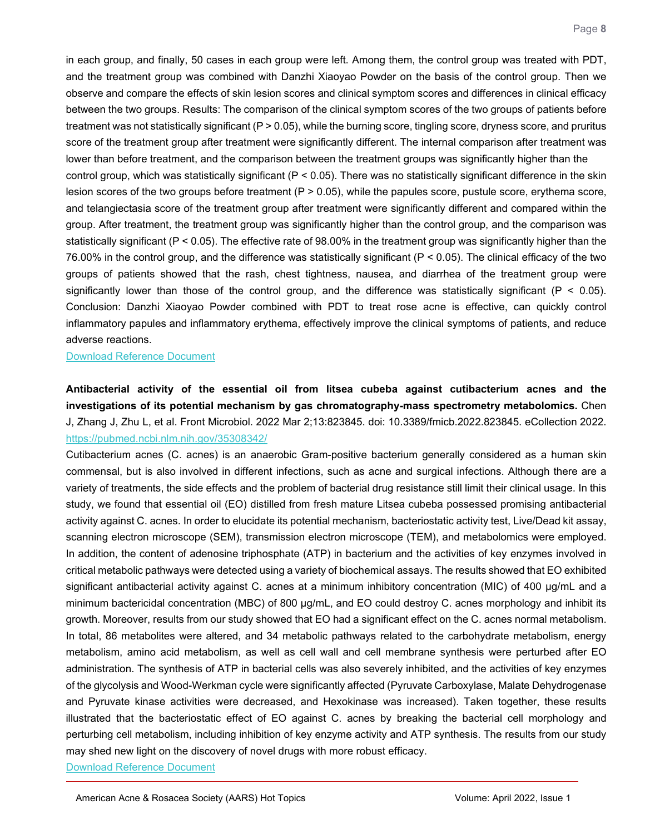in each group, and finally, 50 cases in each group were left. Among them, the control group was treated with PDT, and the treatment group was combined with Danzhi Xiaoyao Powder on the basis of the control group. Then we observe and compare the effects of skin lesion scores and clinical symptom scores and differences in clinical efficacy between the two groups. Results: The comparison of the clinical symptom scores of the two groups of patients before treatment was not statistically significant (P > 0.05), while the burning score, tingling score, dryness score, and pruritus score of the treatment group after treatment were significantly different. The internal comparison after treatment was lower than before treatment, and the comparison between the treatment groups was significantly higher than the control group, which was statistically significant ( $P < 0.05$ ). There was no statistically significant difference in the skin lesion scores of the two groups before treatment (P > 0.05), while the papules score, pustule score, erythema score, and telangiectasia score of the treatment group after treatment were significantly different and compared within the group. After treatment, the treatment group was significantly higher than the control group, and the comparison was statistically significant (P < 0.05). The effective rate of 98.00% in the treatment group was significantly higher than the 76.00% in the control group, and the difference was statistically significant (P < 0.05). The clinical efficacy of the two groups of patients showed that the rash, chest tightness, nausea, and diarrhea of the treatment group were significantly lower than those of the control group, and the difference was statistically significant ( $P < 0.05$ ). Conclusion: Danzhi Xiaoyao Powder combined with PDT to treat rose acne is effective, can quickly control inflammatory papules and inflammatory erythema, effectively improve the clinical symptoms of patients, and reduce adverse reactions.

[Download Reference Document](https://files.constantcontact.com/c2fa20d1101/76ebff6d-26a8-441d-a9f5-fb8fc032e860.pdf?rdr=true)

<span id="page-7-0"></span>**Antibacterial activity of the essential oil from litsea cubeba against cutibacterium acnes and the investigations of its potential mechanism by gas chromatography-mass spectrometry metabolomics.** Chen J, Zhang J, Zhu L, et al. Front Microbiol. 2022 Mar 2;13:823845. doi: 10.3389/fmicb.2022.823845. eCollection 2022. <https://pubmed.ncbi.nlm.nih.gov/35308342/>

Cutibacterium acnes (C. acnes) is an anaerobic Gram-positive bacterium generally considered as a human skin commensal, but is also involved in different infections, such as acne and surgical infections. Although there are a variety of treatments, the side effects and the problem of bacterial drug resistance still limit their clinical usage. In this study, we found that essential oil (EO) distilled from fresh mature Litsea cubeba possessed promising antibacterial activity against C. acnes. In order to elucidate its potential mechanism, bacteriostatic activity test, Live/Dead kit assay, scanning electron microscope (SEM), transmission electron microscope (TEM), and metabolomics were employed. In addition, the content of adenosine triphosphate (ATP) in bacterium and the activities of key enzymes involved in critical metabolic pathways were detected using a variety of biochemical assays. The results showed that EO exhibited significant antibacterial activity against C. acnes at a minimum inhibitory concentration (MIC) of 400 μg/mL and a minimum bactericidal concentration (MBC) of 800 μg/mL, and EO could destroy C. acnes morphology and inhibit its growth. Moreover, results from our study showed that EO had a significant effect on the C. acnes normal metabolism. In total, 86 metabolites were altered, and 34 metabolic pathways related to the carbohydrate metabolism, energy metabolism, amino acid metabolism, as well as cell wall and cell membrane synthesis were perturbed after EO administration. The synthesis of ATP in bacterial cells was also severely inhibited, and the activities of key enzymes of the glycolysis and Wood-Werkman cycle were significantly affected (Pyruvate Carboxylase, Malate Dehydrogenase and Pyruvate kinase activities were decreased, and Hexokinase was increased). Taken together, these results illustrated that the bacteriostatic effect of EO against C. acnes by breaking the bacterial cell morphology and perturbing cell metabolism, including inhibition of key enzyme activity and ATP synthesis. The results from our study may shed new light on the discovery of novel drugs with more robust efficacy.

[Download Reference Document](https://files.constantcontact.com/c2fa20d1101/f2b1c241-678f-49ac-b7a8-9bb1ef3a2eeb.pdf?rdr=true)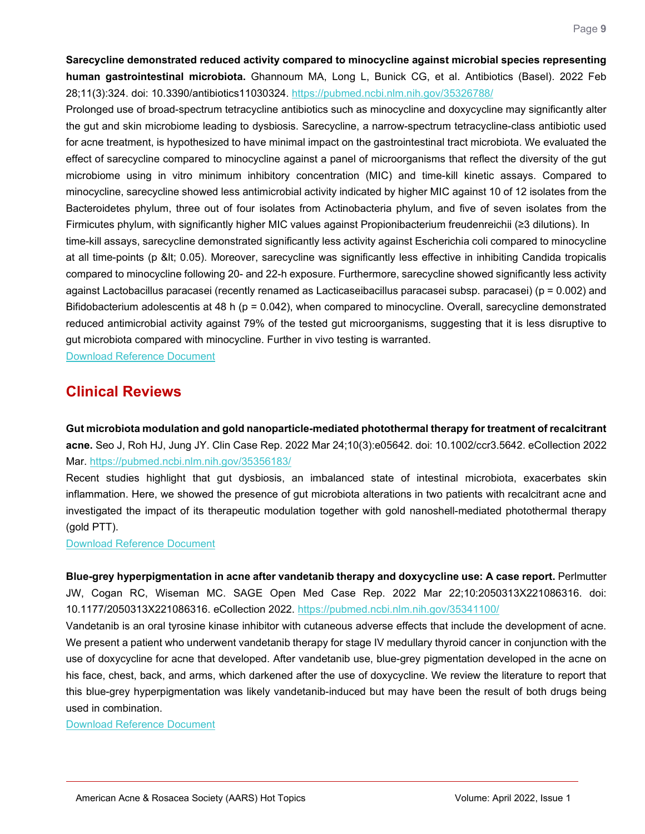<span id="page-8-0"></span>**Sarecycline demonstrated reduced activity compared to minocycline against microbial species representing human gastrointestinal microbiota.** Ghannoum MA, Long L, Bunick CG, et al. Antibiotics (Basel). 2022 Feb 28;11(3):324. doi: 10.3390/antibiotics11030324.<https://pubmed.ncbi.nlm.nih.gov/35326788/>

Prolonged use of broad-spectrum tetracycline antibiotics such as minocycline and doxycycline may significantly alter the gut and skin microbiome leading to dysbiosis. Sarecycline, a narrow-spectrum tetracycline-class antibiotic used for acne treatment, is hypothesized to have minimal impact on the gastrointestinal tract microbiota. We evaluated the effect of sarecycline compared to minocycline against a panel of microorganisms that reflect the diversity of the gut microbiome using in vitro minimum inhibitory concentration (MIC) and time-kill kinetic assays. Compared to minocycline, sarecycline showed less antimicrobial activity indicated by higher MIC against 10 of 12 isolates from the Bacteroidetes phylum, three out of four isolates from Actinobacteria phylum, and five of seven isolates from the Firmicutes phylum, with significantly higher MIC values against Propionibacterium freudenreichii (≥3 dilutions). In

time-kill assays, sarecycline demonstrated significantly less activity against Escherichia coli compared to minocycline at all time-points (p < 0.05). Moreover, sarecycline was significantly less effective in inhibiting Candida tropicalis compared to minocycline following 20- and 22-h exposure. Furthermore, sarecycline showed significantly less activity against Lactobacillus paracasei (recently renamed as Lacticaseibacillus paracasei subsp. paracasei) (p = 0.002) and Bifidobacterium adolescentis at 48 h (p = 0.042), when compared to minocycline. Overall, sarecycline demonstrated reduced antimicrobial activity against 79% of the tested gut microorganisms, suggesting that it is less disruptive to gut microbiota compared with minocycline. Further in vivo testing is warranted.

[Download Reference Document](https://files.constantcontact.com/c2fa20d1101/75956c7c-e35a-477c-a14d-adf2a208d11d.pdf?rdr=true)

## **Clinical Reviews**

<span id="page-8-1"></span>**Gut microbiota modulation and gold nanoparticle-mediated photothermal therapy for treatment of recalcitrant acne.** Seo J, Roh HJ, Jung JY. Clin Case Rep. 2022 Mar 24;10(3):e05642. doi: 10.1002/ccr3.5642. eCollection 2022 Mar.<https://pubmed.ncbi.nlm.nih.gov/35356183/>

Recent studies highlight that gut dysbiosis, an imbalanced state of intestinal microbiota, exacerbates skin inflammation. Here, we showed the presence of gut microbiota alterations in two patients with recalcitrant acne and investigated the impact of its therapeutic modulation together with gold nanoshell-mediated photothermal therapy (gold PTT).

[Download Reference Document](https://files.constantcontact.com/c2fa20d1101/0f97a4bc-f214-4e71-b70e-555c7f49a9be.pdf?rdr=true) 

<span id="page-8-2"></span>**Blue-grey hyperpigmentation in acne after vandetanib therapy and doxycycline use: A case report.** Perlmutter JW, Cogan RC, Wiseman MC. SAGE Open Med Case Rep. 2022 Mar 22;10:2050313X221086316. doi: 10.1177/2050313X221086316. eCollection 2022.<https://pubmed.ncbi.nlm.nih.gov/35341100/>

Vandetanib is an oral tyrosine kinase inhibitor with cutaneous adverse effects that include the development of acne. We present a patient who underwent vandetanib therapy for stage IV medullary thyroid cancer in conjunction with the use of doxycycline for acne that developed. After vandetanib use, blue-grey pigmentation developed in the acne on his face, chest, back, and arms, which darkened after the use of doxycycline. We review the literature to report that this blue-grey hyperpigmentation was likely vandetanib-induced but may have been the result of both drugs being used in combination.

<span id="page-8-3"></span>[Download Reference Document](https://files.constantcontact.com/c2fa20d1101/fda453b7-903d-449e-86f1-a095dbe96e5c.pdf?rdr=true)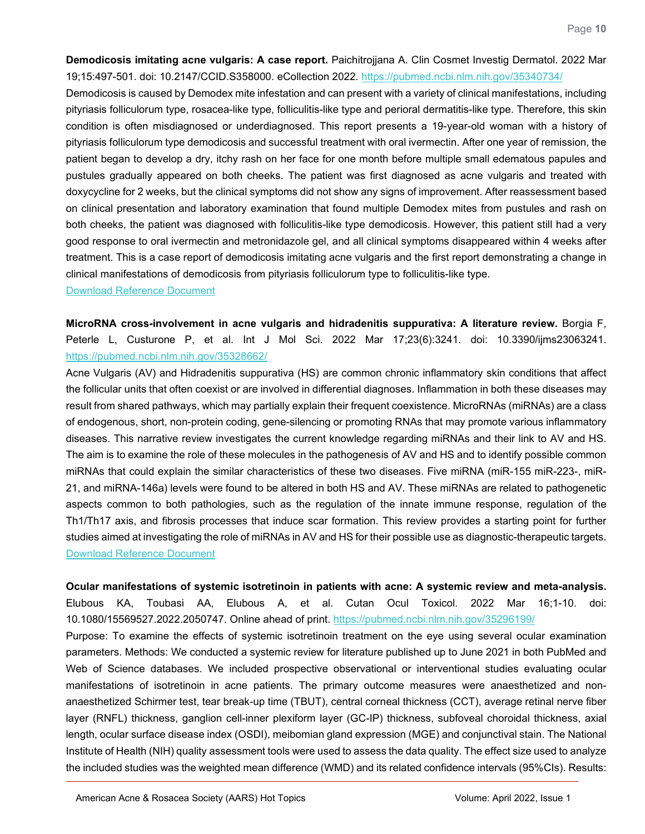**Demodicosis imitating acne vulgaris: A case report.** Paichitrojjana A. Clin Cosmet Investig Dermatol. 2022 Mar 19;15:497-501. doi: 10.2147/CCID.S358000. eCollection 2022.<https://pubmed.ncbi.nlm.nih.gov/35340734/>

Demodicosis is caused by Demodex mite infestation and can present with a variety of clinical manifestations, including pityriasis folliculorum type, rosacea-like type, folliculitis-like type and perioral dermatitis-like type. Therefore, this skin condition is often misdiagnosed or underdiagnosed. This report presents a 19-year-old woman with a history of pityriasis folliculorum type demodicosis and successful treatment with oral ivermectin. After one year of remission, the patient began to develop a dry, itchy rash on her face for one month before multiple small edematous papules and pustules gradually appeared on both cheeks. The patient was first diagnosed as acne vulgaris and treated with doxycycline for 2 weeks, but the clinical symptoms did not show any signs of improvement. After reassessment based on clinical presentation and laboratory examination that found multiple Demodex mites from pustules and rash on both cheeks, the patient was diagnosed with folliculitis-like type demodicosis. However, this patient still had a very good response to oral ivermectin and metronidazole gel, and all clinical symptoms disappeared within 4 weeks after treatment. This is a case report of demodicosis imitating acne vulgaris and the first report demonstrating a change in clinical manifestations of demodicosis from pityriasis folliculorum type to folliculitis-like type. [Download Reference Document](https://files.constantcontact.com/c2fa20d1101/23f052aa-ff25-4033-9b4b-6ff238b45eb0.pdf?rdr=true)

<span id="page-9-0"></span>**MicroRNA cross-involvement in acne vulgaris and hidradenitis suppurativa: A literature review.** Borgia F, Peterle L, Custurone P, et al. Int J Mol Sci. 2022 Mar 17;23(6):3241. doi: 10.3390/ijms23063241. <https://pubmed.ncbi.nlm.nih.gov/35328662/>

Acne Vulgaris (AV) and Hidradenitis suppurativa (HS) are common chronic inflammatory skin conditions that affect the follicular units that often coexist or are involved in differential diagnoses. Inflammation in both these diseases may result from shared pathways, which may partially explain their frequent coexistence. MicroRNAs (miRNAs) are a class of endogenous, short, non-protein coding, gene-silencing or promoting RNAs that may promote various inflammatory diseases. This narrative review investigates the current knowledge regarding miRNAs and their link to AV and HS. The aim is to examine the role of these molecules in the pathogenesis of AV and HS and to identify possible common miRNAs that could explain the similar characteristics of these two diseases. Five miRNA (miR-155 miR-223-, miR-21, and miRNA-146a) levels were found to be altered in both HS and AV. These miRNAs are related to pathogenetic aspects common to both pathologies, such as the regulation of the innate immune response, regulation of the Th1/Th17 axis, and fibrosis processes that induce scar formation. This review provides a starting point for further studies aimed at investigating the role of miRNAs in AV and HS for their possible use as diagnostic-therapeutic targets. [Download Reference Document](https://files.constantcontact.com/c2fa20d1101/b7b33548-13db-4e85-a93d-8a913969cbfe.pdf?rdr=true)

<span id="page-9-1"></span>**Ocular manifestations of systemic isotretinoin in patients with acne: A systemic review and meta-analysis.**

Elubous KA, Toubasi AA, Elubous A, et al. Cutan Ocul Toxicol. 2022 Mar 16;1-10. doi: 10.1080/15569527.2022.2050747. Online ahead of print.<https://pubmed.ncbi.nlm.nih.gov/35296199/>

Purpose: To examine the effects of systemic isotretinoin treatment on the eye using several ocular examination parameters. Methods: We conducted a systemic review for literature published up to June 2021 in both PubMed and Web of Science databases. We included prospective observational or interventional studies evaluating ocular manifestations of isotretinoin in acne patients. The primary outcome measures were anaesthetized and nonanaesthetized Schirmer test, tear break-up time (TBUT), central corneal thickness (CCT), average retinal nerve fiber layer (RNFL) thickness, ganglion cell-inner plexiform layer (GC-IP) thickness, subfoveal choroidal thickness, axial length, ocular surface disease index (OSDI), meibomian gland expression (MGE) and conjunctival stain. The National Institute of Health (NIH) quality assessment tools were used to assess the data quality. The effect size used to analyze the included studies was the weighted mean difference (WMD) and its related confidence intervals (95%CIs). Results: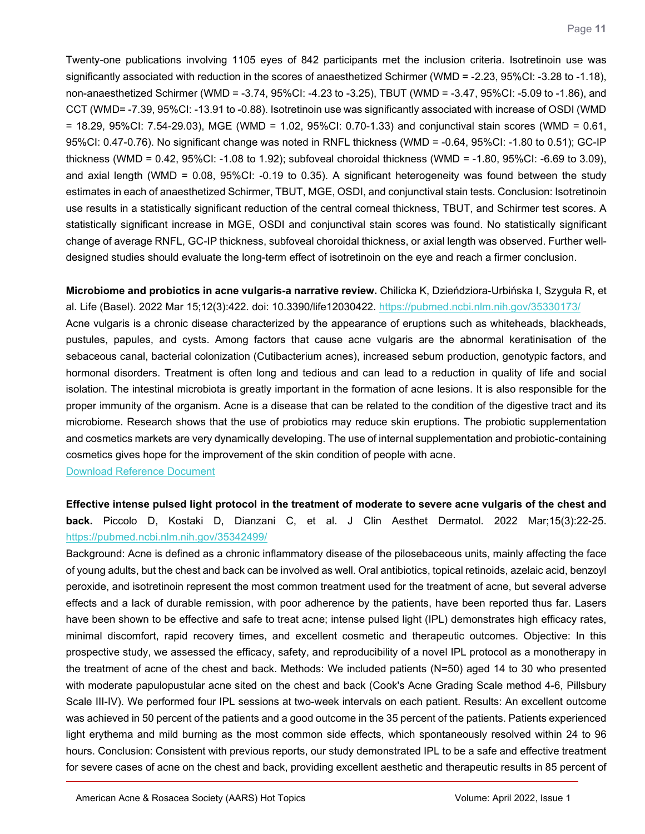Twenty-one publications involving 1105 eyes of 842 participants met the inclusion criteria. Isotretinoin use was significantly associated with reduction in the scores of anaesthetized Schirmer (WMD = -2.23, 95%CI: -3.28 to -1.18), non-anaesthetized Schirmer (WMD = -3.74, 95%CI: -4.23 to -3.25), TBUT (WMD = -3.47, 95%CI: -5.09 to -1.86), and CCT (WMD= -7.39, 95%CI: -13.91 to -0.88). Isotretinoin use was significantly associated with increase of OSDI (WMD = 18.29, 95%CI: 7.54-29.03), MGE (WMD = 1.02, 95%CI: 0.70-1.33) and conjunctival stain scores (WMD = 0.61, 95%CI: 0.47-0.76). No significant change was noted in RNFL thickness (WMD = -0.64, 95%CI: -1.80 to 0.51); GC-IP thickness (WMD = 0.42, 95%CI: -1.08 to 1.92); subfoveal choroidal thickness (WMD = -1.80, 95%CI: -6.69 to 3.09), and axial length (WMD = 0.08, 95%CI: -0.19 to 0.35). A significant heterogeneity was found between the study estimates in each of anaesthetized Schirmer, TBUT, MGE, OSDI, and conjunctival stain tests. Conclusion: Isotretinoin use results in a statistically significant reduction of the central corneal thickness, TBUT, and Schirmer test scores. A statistically significant increase in MGE, OSDI and conjunctival stain scores was found. No statistically significant change of average RNFL, GC-IP thickness, subfoveal choroidal thickness, or axial length was observed. Further welldesigned studies should evaluate the long-term effect of isotretinoin on the eye and reach a firmer conclusion.

<span id="page-10-0"></span>**Microbiome and probiotics in acne vulgaris-a narrative review.** Chilicka K, Dzieńdziora-Urbińska I, Szyguła R, et al. Life (Basel). 2022 Mar 15;12(3):422. doi: 10.3390/life12030422.<https://pubmed.ncbi.nlm.nih.gov/35330173/> Acne vulgaris is a chronic disease characterized by the appearance of eruptions such as whiteheads, blackheads, pustules, papules, and cysts. Among factors that cause acne vulgaris are the abnormal keratinisation of the sebaceous canal, bacterial colonization (Cutibacterium acnes), increased sebum production, genotypic factors, and hormonal disorders. Treatment is often long and tedious and can lead to a reduction in quality of life and social isolation. The intestinal microbiota is greatly important in the formation of acne lesions. It is also responsible for the proper immunity of the organism. Acne is a disease that can be related to the condition of the digestive tract and its microbiome. Research shows that the use of probiotics may reduce skin eruptions. The probiotic supplementation and cosmetics markets are very dynamically developing. The use of internal supplementation and probiotic-containing cosmetics gives hope for the improvement of the skin condition of people with acne.

[Download Reference Document](https://files.constantcontact.com/c2fa20d1101/0d96c633-0333-4b71-8a94-f819d4274c51.pdf?rdr=true)

<span id="page-10-1"></span>**Effective intense pulsed light protocol in the treatment of moderate to severe acne vulgaris of the chest and back.** Piccolo D, Kostaki D, Dianzani C, et al. J Clin Aesthet Dermatol. 2022 Mar;15(3):22-25. <https://pubmed.ncbi.nlm.nih.gov/35342499/>

Background: Acne is defined as a chronic inflammatory disease of the pilosebaceous units, mainly affecting the face of young adults, but the chest and back can be involved as well. Oral antibiotics, topical retinoids, azelaic acid, benzoyl peroxide, and isotretinoin represent the most common treatment used for the treatment of acne, but several adverse effects and a lack of durable remission, with poor adherence by the patients, have been reported thus far. Lasers have been shown to be effective and safe to treat acne; intense pulsed light (IPL) demonstrates high efficacy rates, minimal discomfort, rapid recovery times, and excellent cosmetic and therapeutic outcomes. Objective: In this prospective study, we assessed the efficacy, safety, and reproducibility of a novel IPL protocol as a monotherapy in the treatment of acne of the chest and back. Methods: We included patients (N=50) aged 14 to 30 who presented with moderate papulopustular acne sited on the chest and back (Cook's Acne Grading Scale method 4-6, Pillsbury Scale III-IV). We performed four IPL sessions at two-week intervals on each patient. Results: An excellent outcome was achieved in 50 percent of the patients and a good outcome in the 35 percent of the patients. Patients experienced light erythema and mild burning as the most common side effects, which spontaneously resolved within 24 to 96 hours. Conclusion: Consistent with previous reports, our study demonstrated IPL to be a safe and effective treatment for severe cases of acne on the chest and back, providing excellent aesthetic and therapeutic results in 85 percent of